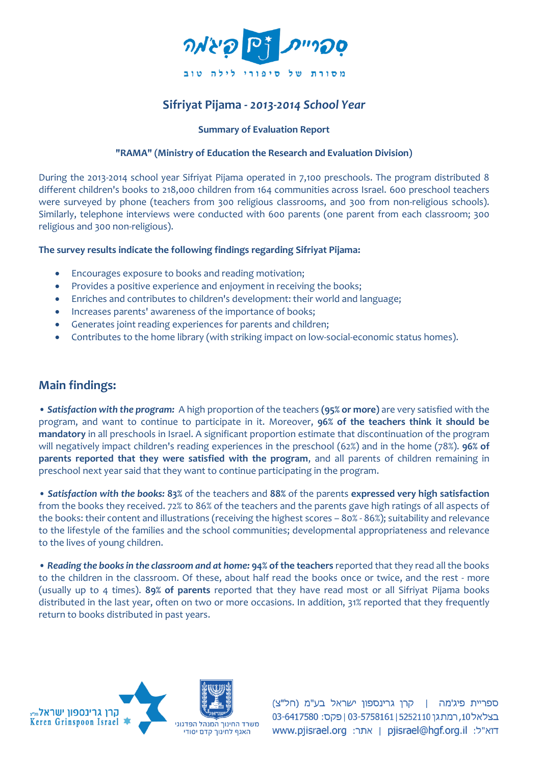

# **Sifriyat Pijama -** *2013-2014 School Year*

### **Summary of Evaluation Report**

#### **"RAMA" (Ministry of Education the Research and Evaluation Division)**

During the 2013-2014 school year Sifriyat Pijama operated in 7,100 preschools. The program distributed 8 different children's books to 218,000 children from 164 communities across Israel. 600 preschool teachers were surveyed by phone (teachers from 300 religious classrooms, and 300 from non-religious schools). Similarly, telephone interviews were conducted with 600 parents (one parent from each classroom; 300 religious and 300 non-religious).

#### **The survey results indicate the following findings regarding Sifriyat Pijama:**

- Encourages exposure to books and reading motivation;
- Provides a positive experience and enjoyment in receiving the books;
- Enriches and contributes to children's development: their world and language;
- Increases parents' awareness of the importance of books;
- Generates joint reading experiences for parents and children;
- Contributes to the home library (with striking impact on low-social-economic status homes).

## **Main findings:**

• *Satisfaction with the program:* A high proportion of the teachers **(95% or more)** are very satisfied with the program, and want to continue to participate in it. Moreover, **96% of the teachers think it should be mandatory** in all preschools in Israel. A significant proportion estimate that discontinuation of the program will negatively impact children's reading experiences in the preschool (62%) and in the home (78%). **96% of parents reported that they were satisfied with the program**, and all parents of children remaining in preschool next year said that they want to continue participating in the program.

• *Satisfaction with the books:* **83%** of the teachers and **88%** of the parents **expressed very high satisfaction**  from the books they received. 72% to 86% of the teachers and the parents gave high ratings of all aspects of the books: their content and illustrations (receiving the highest scores – 80% - 86%); suitability and relevance to the lifestyle of the families and the school communities; developmental appropriateness and relevance to the lives of young children.

• *Reading the books in the classroom and at home:* **94% of the teachers** reported that they read all the books to the children in the classroom. Of these, about half read the books once or twice, and the rest - more (usually up to 4 times). **89% of parents** reported that they have read most or all Sifriyat Pijama books distributed in the last year, often on two or more occasions. In addition, 31% reported that they frequently return to books distributed in past years.



ספריית פיג'מה | קרן גרינספון ישראל בע"מ (חל"צ) בצלאל10, רמתגן 5252110 | 5252161 | פקס: 6417580-03 www.pjisrael.org | אתר: www.pjisrael.org